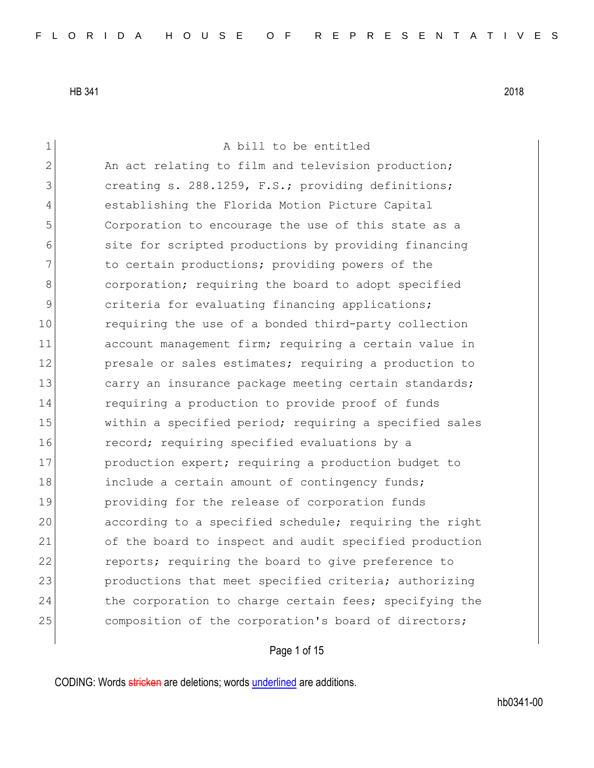1 a bill to be entitled 2 An act relating to film and television production; 3 **creating s. 288.1259, F.S.; providing definitions;** 4 establishing the Florida Motion Picture Capital 5 Corporation to encourage the use of this state as a 6 site for scripted productions by providing financing 7 11 The certain productions; providing powers of the 8 8 8 corporation; requiring the board to adopt specified 9 3 9 criteria for evaluating financing applications; 10 requiring the use of a bonded third-party collection 11 account management firm; requiring a certain value in 12 presale or sales estimates; requiring a production to 13 carry an insurance package meeting certain standards; 14 **requiring a production to provide proof of funds** 15 **within a specified period;** requiring a specified sales 16 **record;** requiring specified evaluations by a 17 production expert; requiring a production budget to 18 include a certain amount of contingency funds; 19 providing for the release of corporation funds 20 according to a specified schedule; requiring the right 21 of the board to inspect and audit specified production 22 reports; requiring the board to give preference to 23 Productions that meet specified criteria; authorizing 24 the corporation to charge certain fees; specifying the 25 composition of the corporation's board of directors;

Page 1 of 15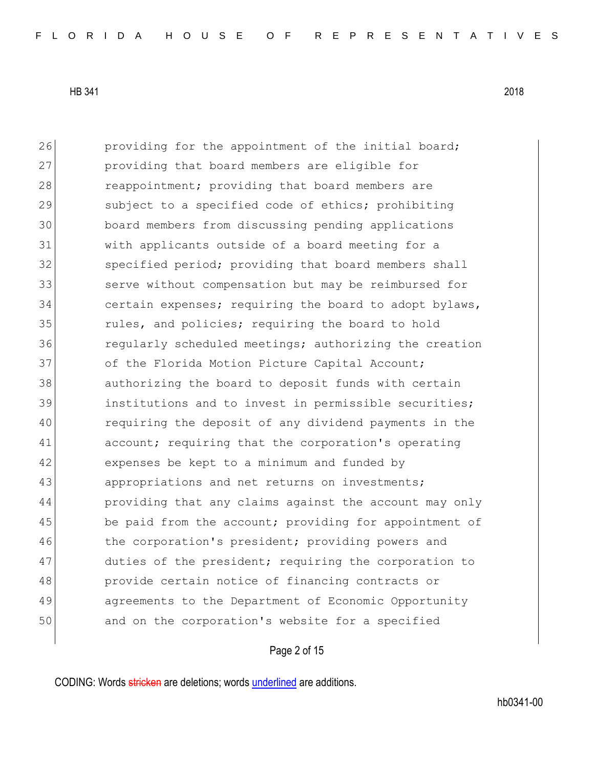26 providing for the appointment of the initial board; 27 providing that board members are eligible for 28 reappointment; providing that board members are 29 Subject to a specified code of ethics; prohibiting 30 board members from discussing pending applications 31 with applicants outside of a board meeting for a 32 Specified period; providing that board members shall 33 serve without compensation but may be reimbursed for 34 certain expenses; requiring the board to adopt bylaws, 35 **rules, and policies; requiring the board to hold** 36 **regularly scheduled meetings;** authorizing the creation 37 of the Florida Motion Picture Capital Account; 38 authorizing the board to deposit funds with certain 39 **institutions and to invest in permissible securities;** 40 requiring the deposit of any dividend payments in the 41 account; requiring that the corporation's operating 42 expenses be kept to a minimum and funded by 43 appropriations and net returns on investments; 44 providing that any claims against the account may only 45 be paid from the account; providing for appointment of 46 the corporation's president; providing powers and 47 duties of the president; requiring the corporation to 48 provide certain notice of financing contracts or 49 agreements to the Department of Economic Opportunity 50 and on the corporation's website for a specified

Page 2 of 15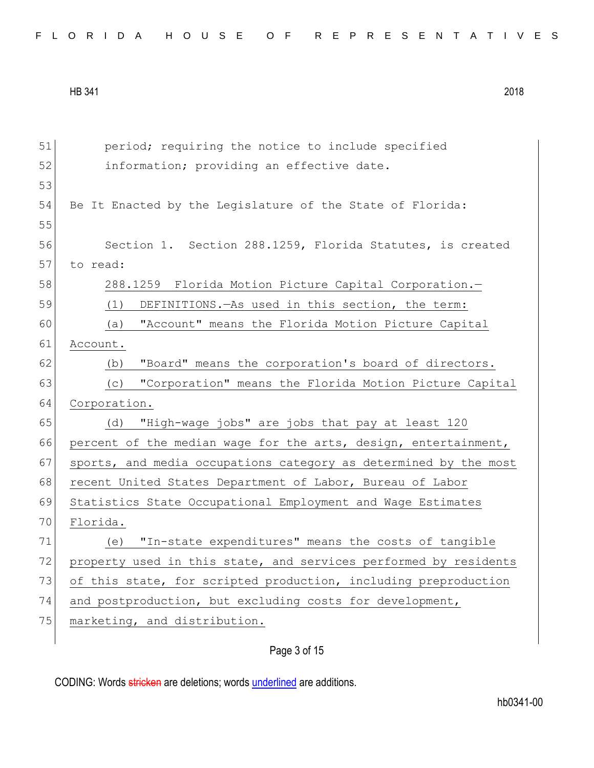| FLORIDA HOUSE OF REPRESENTATIVES |  |
|----------------------------------|--|
|----------------------------------|--|

| 51 | period; requiring the notice to include specified                |
|----|------------------------------------------------------------------|
| 52 | information; providing an effective date.                        |
| 53 |                                                                  |
| 54 | Be It Enacted by the Legislature of the State of Florida:        |
| 55 |                                                                  |
| 56 | Section 1. Section 288.1259, Florida Statutes, is created        |
| 57 | to read:                                                         |
| 58 | 288.1259 Florida Motion Picture Capital Corporation.-            |
| 59 | DEFINITIONS.-As used in this section, the term:<br>(1)           |
| 60 | "Account" means the Florida Motion Picture Capital<br>(a)        |
| 61 | Account.                                                         |
| 62 | "Board" means the corporation's board of directors.<br>(b)       |
| 63 | "Corporation" means the Florida Motion Picture Capital<br>(C)    |
| 64 | Corporation.                                                     |
| 65 | "High-wage jobs" are jobs that pay at least 120<br>(d)           |
| 66 | percent of the median wage for the arts, design, entertainment,  |
| 67 | sports, and media occupations category as determined by the most |
| 68 | recent United States Department of Labor, Bureau of Labor        |
| 69 | Statistics State Occupational Employment and Wage Estimates      |
| 70 | Florida.                                                         |
| 71 | "In-state expenditures" means the costs of tangible<br>(e)       |
| 72 | property used in this state, and services performed by residents |
| 73 | of this state, for scripted production, including preproduction  |
| 74 | and postproduction, but excluding costs for development,         |
| 75 | marketing, and distribution.                                     |
|    |                                                                  |

# Page 3 of 15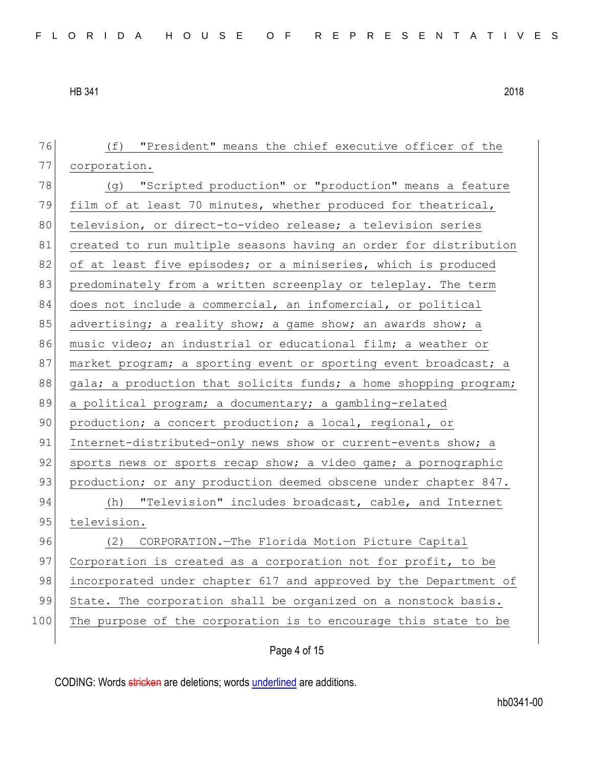76 (f) "President" means the chief executive officer of the 77 corporation. 78 (g) "Scripted production" or "production" means a feature 79 film of at least 70 minutes, whether produced for theatrical, 80 television, or direct-to-video release; a television series 81 created to run multiple seasons having an order for distribution 82 of at least five episodes; or a miniseries, which is produced 83 predominately from a written screenplay or teleplay. The term 84 does not include a commercial, an infomercial, or political 85 advertising; a reality show; a game show; an awards show; a 86 music video; an industrial or educational film; a weather or 87 market program; a sporting event or sporting event broadcast; a 88 gala; a production that solicits funds; a home shopping program; 89 a political program; a documentary; a gambling-related 90 production; a concert production; a local, regional, or 91 Internet-distributed-only news show or current-events show; a 92 sports news or sports recap show; a video game; a pornographic 93 production; or any production deemed obscene under chapter 847. 94 (h) "Television" includes broadcast, cable, and Internet 95 television. 96 (2) CORPORATION.—The Florida Motion Picture Capital 97 Corporation is created as a corporation not for profit, to be 98 incorporated under chapter 617 and approved by the Department of 99 State. The corporation shall be organized on a nonstock basis. 100 The purpose of the corporation is to encourage this state to be

Page 4 of 15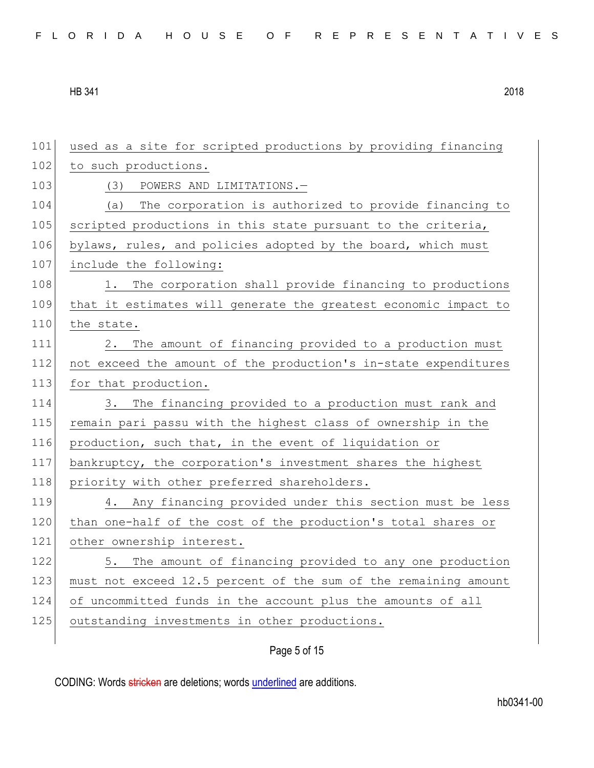|  |  |  |  |  |  |  |  |  |  |  | FLORIDA HOUSE OF REPRESENTATIVES |  |  |  |  |  |  |  |  |  |  |  |  |  |  |  |  |
|--|--|--|--|--|--|--|--|--|--|--|----------------------------------|--|--|--|--|--|--|--|--|--|--|--|--|--|--|--|--|
|--|--|--|--|--|--|--|--|--|--|--|----------------------------------|--|--|--|--|--|--|--|--|--|--|--|--|--|--|--|--|

| 101 | used as a site for scripted productions by providing financing  |
|-----|-----------------------------------------------------------------|
| 102 | to such productions.                                            |
| 103 | (3)<br>POWERS AND LIMITATIONS.-                                 |
| 104 | The corporation is authorized to provide financing to<br>(a)    |
| 105 | scripted productions in this state pursuant to the criteria,    |
| 106 | bylaws, rules, and policies adopted by the board, which must    |
| 107 | include the following:                                          |
| 108 | 1. The corporation shall provide financing to productions       |
| 109 | that it estimates will generate the greatest economic impact to |
| 110 | the state.                                                      |
| 111 | The amount of financing provided to a production must<br>2.     |
| 112 | not exceed the amount of the production's in-state expenditures |
| 113 | for that production.                                            |
| 114 | 3. The financing provided to a production must rank and         |
| 115 | remain pari passu with the highest class of ownership in the    |
| 116 | production, such that, in the event of liquidation or           |
| 117 | bankruptcy, the corporation's investment shares the highest     |
| 118 | priority with other preferred shareholders.                     |
| 119 | 4. Any financing provided under this section must be less       |
| 120 | than one-half of the cost of the production's total shares or   |
| 121 | other ownership interest.                                       |
| 122 | The amount of financing provided to any one production<br>5.    |
| 123 | must not exceed 12.5 percent of the sum of the remaining amount |
| 124 | of uncommitted funds in the account plus the amounts of all     |
|     |                                                                 |
| 125 | outstanding investments in other productions.                   |

# Page 5 of 15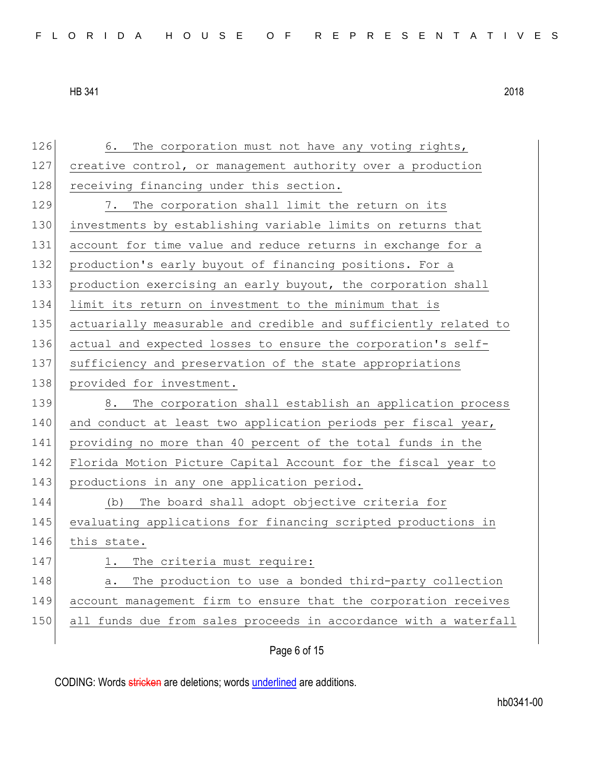126 6. The corporation must not have any voting rights, 127 creative control, or management authority over a production 128 receiving financing under this section. 129 7. The corporation shall limit the return on its 130 investments by establishing variable limits on returns that 131 account for time value and reduce returns in exchange for a 132 production's early buyout of financing positions. For a 133 production exercising an early buyout, the corporation shall 134 limit its return on investment to the minimum that is 135 actuarially measurable and credible and sufficiently related to 136 actual and expected losses to ensure the corporation's self-137 sufficiency and preservation of the state appropriations 138 provided for investment. 139 8. The corporation shall establish an application process 140 and conduct at least two application periods per fiscal year, 141 providing no more than 40 percent of the total funds in the 142 Florida Motion Picture Capital Account for the fiscal year to 143 productions in any one application period. 144 (b) The board shall adopt objective criteria for 145 evaluating applications for financing scripted productions in 146 this state. 147 1. The criteria must require: 148 a. The production to use a bonded third-party collection 149 account management firm to ensure that the corporation receives 150 all funds due from sales proceeds in accordance with a waterfall

Page 6 of 15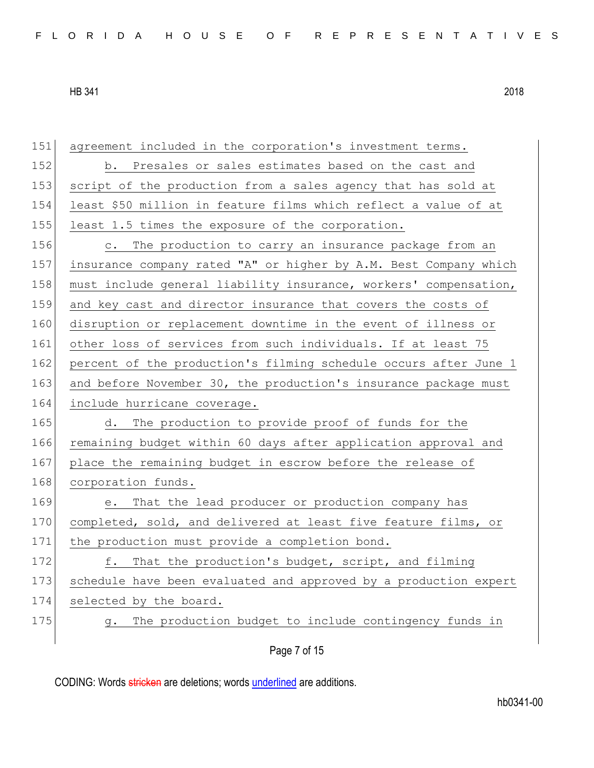151 agreement included in the corporation's investment terms. 152 b. Presales or sales estimates based on the cast and 153 script of the production from a sales agency that has sold at

|  |  | 154 least \$50 million in feature films which reflect a value of at |  |  |  |  |
|--|--|---------------------------------------------------------------------|--|--|--|--|
|  |  | 155 least 1.5 times the exposure of the corporation.                |  |  |  |  |

156 c. The production to carry an insurance package from an 157 insurance company rated "A" or higher by A.M. Best Company which 158 must include general liability insurance, workers' compensation, 159 and key cast and director insurance that covers the costs of 160 disruption or replacement downtime in the event of illness or 161 other loss of services from such individuals. If at least 75 162 percent of the production's filming schedule occurs after June 1 163 and before November 30, the production's insurance package must 164 include hurricane coverage.

165 d. The production to provide proof of funds for the 166 remaining budget within 60 days after application approval and 167 place the remaining budget in escrow before the release of 168 corporation funds.

169 e. That the lead producer or production company has 170 completed, sold, and delivered at least five feature films, or 171 the production must provide a completion bond.

172 f. That the production's budget, script, and filming 173 schedule have been evaluated and approved by a production expert 174 selected by the board.

175 g. The production budget to include contingency funds in

Page 7 of 15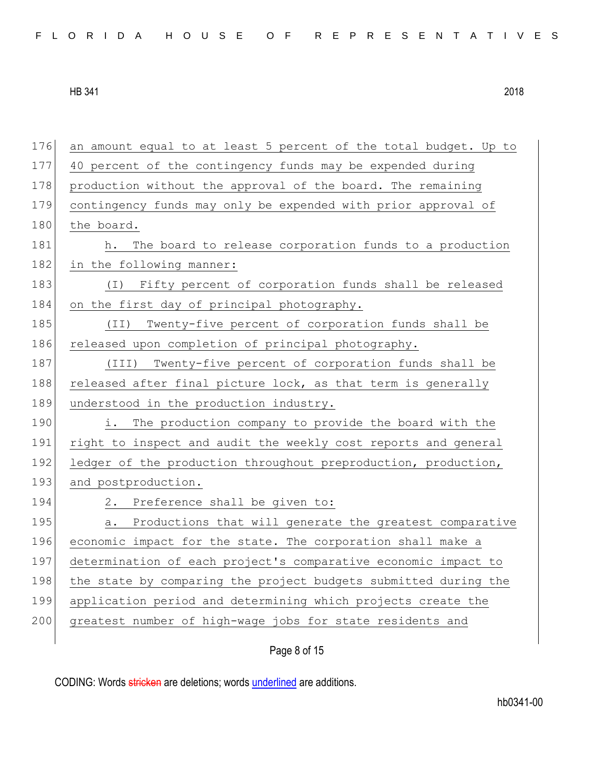| 176 | an amount equal to at least 5 percent of the total budget. Up to |
|-----|------------------------------------------------------------------|
| 177 | 40 percent of the contingency funds may be expended during       |
| 178 | production without the approval of the board. The remaining      |
| 179 | contingency funds may only be expended with prior approval of    |
| 180 | the board.                                                       |
| 181 | The board to release corporation funds to a production<br>h.     |
| 182 | in the following manner:                                         |
| 183 | Fifty percent of corporation funds shall be released<br>( I )    |
| 184 | on the first day of principal photography.                       |
| 185 | Twenty-five percent of corporation funds shall be<br>(TI)        |
| 186 | released upon completion of principal photography.               |
| 187 | (III)<br>Twenty-five percent of corporation funds shall be       |
| 188 | released after final picture lock, as that term is generally     |
|     |                                                                  |
| 189 | understood in the production industry.                           |
| 190 | i.<br>The production company to provide the board with the       |
| 191 | right to inspect and audit the weekly cost reports and general   |
| 192 | ledger of the production throughout preproduction, production,   |
| 193 | and postproduction.                                              |
| 194 | 2. Preference shall be given to:                                 |
| 195 | Productions that will generate the greatest comparative<br>a.    |
| 196 | economic impact for the state. The corporation shall make a      |
| 197 | determination of each project's comparative economic impact to   |
| 198 | the state by comparing the project budgets submitted during the  |
| 199 | application period and determining which projects create the     |
| 200 | greatest number of high-wage jobs for state residents and        |

Page 8 of 15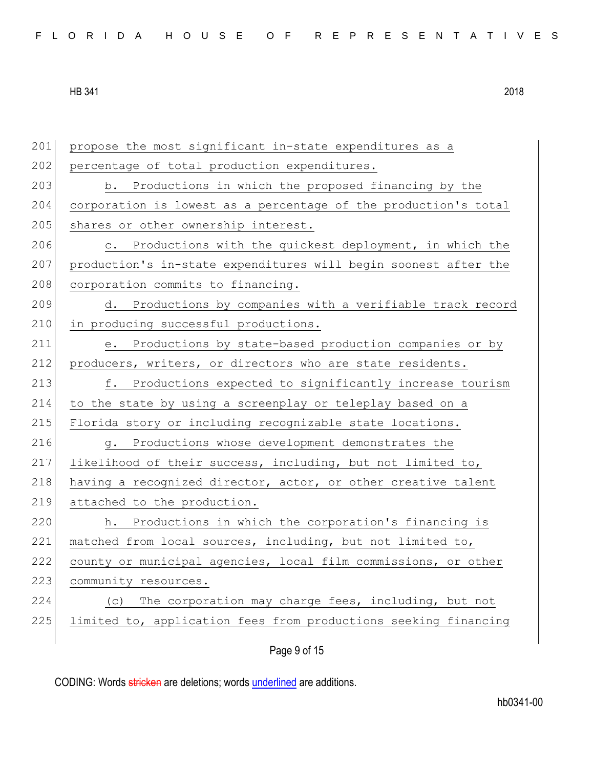201 propose the most significant in-state expenditures as a 202 percentage of total production expenditures. 203 b. Productions in which the proposed financing by the 204 corporation is lowest as a percentage of the production's total 205 shares or other ownership interest. 206 c. Productions with the quickest deployment, in which the 207 production's in-state expenditures will begin soonest after the 208 corporation commits to financing. 209 d. Productions by companies with a verifiable track record 210 in producing successful productions. 211 e. Productions by state-based production companies or by 212 producers, writers, or directors who are state residents. 213 f. Productions expected to significantly increase tourism 214 to the state by using a screenplay or teleplay based on a 215 Florida story or including recognizable state locations. 216 g. Productions whose development demonstrates the 217 likelihood of their success, including, but not limited to, 218 having a recognized director, actor, or other creative talent 219 attached to the production. 220 h. Productions in which the corporation's financing is 221 matched from local sources, including, but not limited to, 222 county or municipal agencies, local film commissions, or other 223 community resources. 224 (c) The corporation may charge fees, including, but not 225 limited to, application fees from productions seeking financing

Page 9 of 15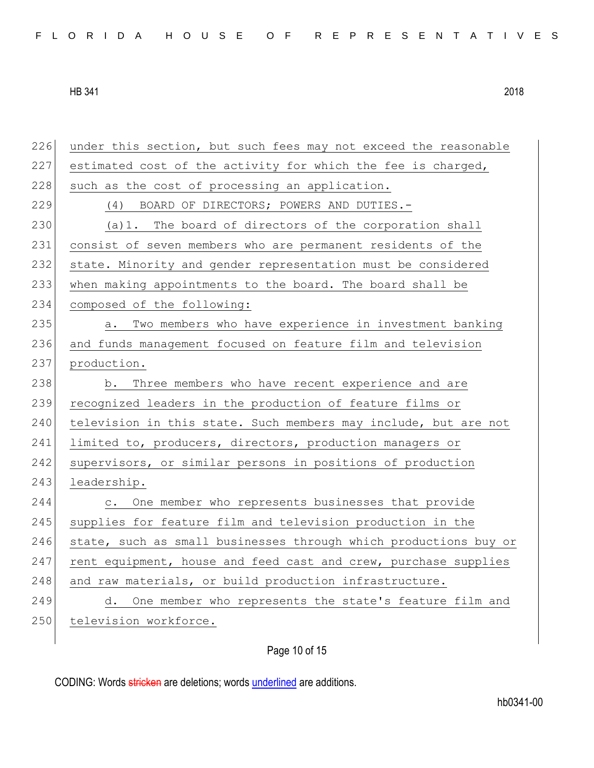| FLORIDA HOUSE OF REPRESENTATIVES |  |  |  |  |  |  |  |  |  |  |  |  |  |  |  |  |  |  |  |  |  |  |  |  |  |  |
|----------------------------------|--|--|--|--|--|--|--|--|--|--|--|--|--|--|--|--|--|--|--|--|--|--|--|--|--|--|
|----------------------------------|--|--|--|--|--|--|--|--|--|--|--|--|--|--|--|--|--|--|--|--|--|--|--|--|--|--|

226 under this section, but such fees may not exceed the reasonable 227 estimated cost of the activity for which the fee is charged, 228 such as the cost of processing an application. 229 (4) BOARD OF DIRECTORS; POWERS AND DUTIES.- $230$  (a)1. The board of directors of the corporation shall 231 consist of seven members who are permanent residents of the 232 state. Minority and gender representation must be considered 233 when making appointments to the board. The board shall be 234 composed of the following: 235 a. Two members who have experience in investment banking 236 and funds management focused on feature film and television 237 production. 238 b. Three members who have recent experience and are 239 recognized leaders in the production of feature films or 240 television in this state. Such members may include, but are not 241 limited to, producers, directors, production managers or 242 supervisors, or similar persons in positions of production 243 leadership. 244 c. One member who represents businesses that provide 245 supplies for feature film and television production in the 246 state, such as small businesses through which productions buy or 247 rent equipment, house and feed cast and crew, purchase supplies 248 and raw materials, or build production infrastructure. 249 d. One member who represents the state's feature film and 250 television workforce.

Page 10 of 15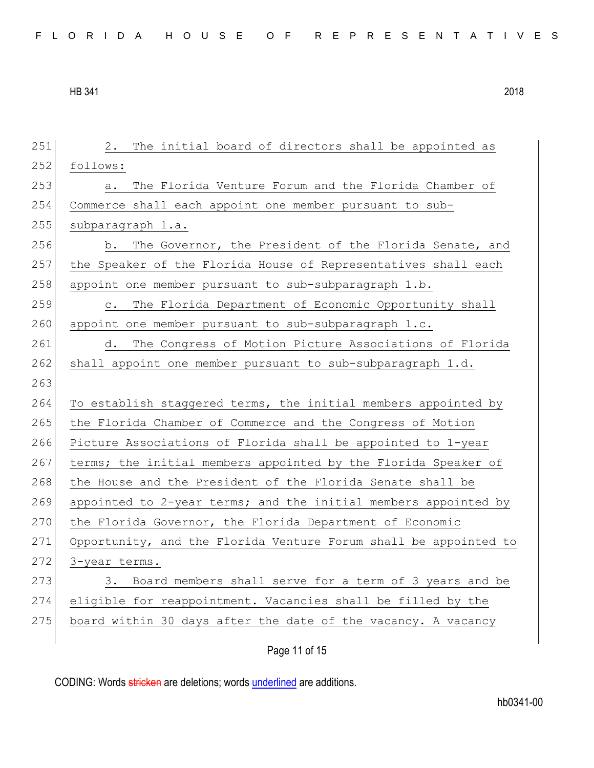| 251 | The initial board of directors shall be appointed as<br>2.        |
|-----|-------------------------------------------------------------------|
| 252 | follows:                                                          |
| 253 | The Florida Venture Forum and the Florida Chamber of<br>a.        |
| 254 | Commerce shall each appoint one member pursuant to sub-           |
| 255 | subparagraph 1.a.                                                 |
| 256 | b. The Governor, the President of the Florida Senate, and         |
| 257 | the Speaker of the Florida House of Representatives shall each    |
| 258 | appoint one member pursuant to sub-subparagraph 1.b.              |
| 259 | The Florida Department of Economic Opportunity shall<br>$\circ$ . |
| 260 | appoint one member pursuant to sub-subparagraph 1.c.              |
| 261 | The Congress of Motion Picture Associations of Florida<br>d.      |
| 262 | shall appoint one member pursuant to sub-subparagraph 1.d.        |
| 263 |                                                                   |
| 264 | To establish staggered terms, the initial members appointed by    |
| 265 | the Florida Chamber of Commerce and the Congress of Motion        |
| 266 | Picture Associations of Florida shall be appointed to 1-year      |
| 267 | terms; the initial members appointed by the Florida Speaker of    |
| 268 | the House and the President of the Florida Senate shall be        |
| 269 | appointed to 2-year terms; and the initial members appointed by   |
| 270 | the Florida Governor, the Florida Department of Economic          |
| 271 | Opportunity, and the Florida Venture Forum shall be appointed to  |
| 272 | 3-year terms.                                                     |
| 273 | 3. Board members shall serve for a term of 3 years and be         |
| 274 | eligible for reappointment. Vacancies shall be filled by the      |
| 275 |                                                                   |
|     | board within 30 days after the date of the vacancy. A vacancy     |

Page 11 of 15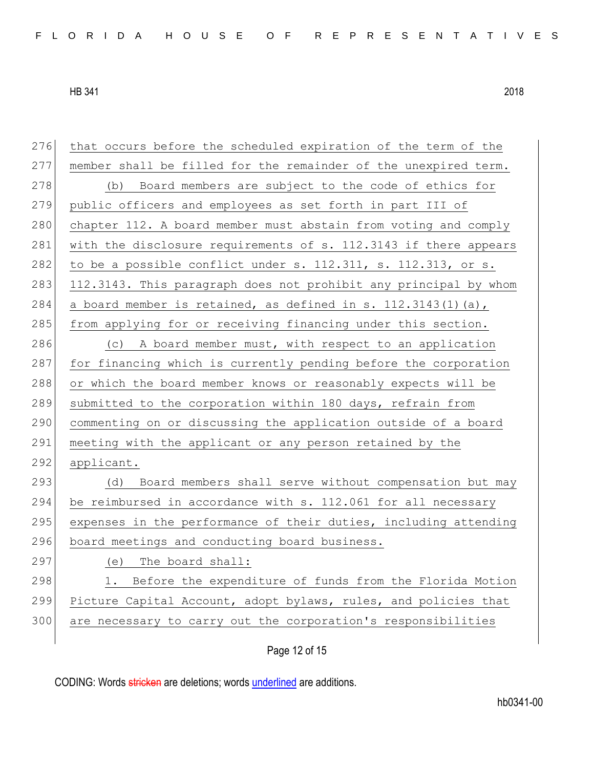| 276 | that occurs before the scheduled expiration of the term of the   |
|-----|------------------------------------------------------------------|
| 277 | member shall be filled for the remainder of the unexpired term.  |
| 278 | (b) Board members are subject to the code of ethics for          |
| 279 | public officers and employees as set forth in part III of        |
| 280 | chapter 112. A board member must abstain from voting and comply  |
| 281 | with the disclosure requirements of s. 112.3143 if there appears |
| 282 | to be a possible conflict under s. 112.311, s. 112.313, or s.    |
| 283 | 112.3143. This paragraph does not prohibit any principal by whom |
| 284 | a board member is retained, as defined in s. $112.3143(1)$ (a),  |
| 285 | from applying for or receiving financing under this section.     |
| 286 | (c) A board member must, with respect to an application          |
| 287 | for financing which is currently pending before the corporation  |
| 288 | or which the board member knows or reasonably expects will be    |
| 289 | submitted to the corporation within 180 days, refrain from       |
| 290 | commenting on or discussing the application outside of a board   |
| 291 | meeting with the applicant or any person retained by the         |
| 292 | applicant.                                                       |
| 293 | (d) Board members shall serve without compensation but may       |
| 294 | be reimbursed in accordance with s. 112.061 for all necessary    |
| 295 | expenses in the performance of their duties, including attending |
| 296 | board meetings and conducting board business.                    |
| 297 | (e) The board shall:                                             |
| 298 | 1. Before the expenditure of funds from the Florida Motion       |
|     |                                                                  |
| 299 | Picture Capital Account, adopt bylaws, rules, and policies that  |
| 300 | are necessary to carry out the corporation's responsibilities    |

Page 12 of 15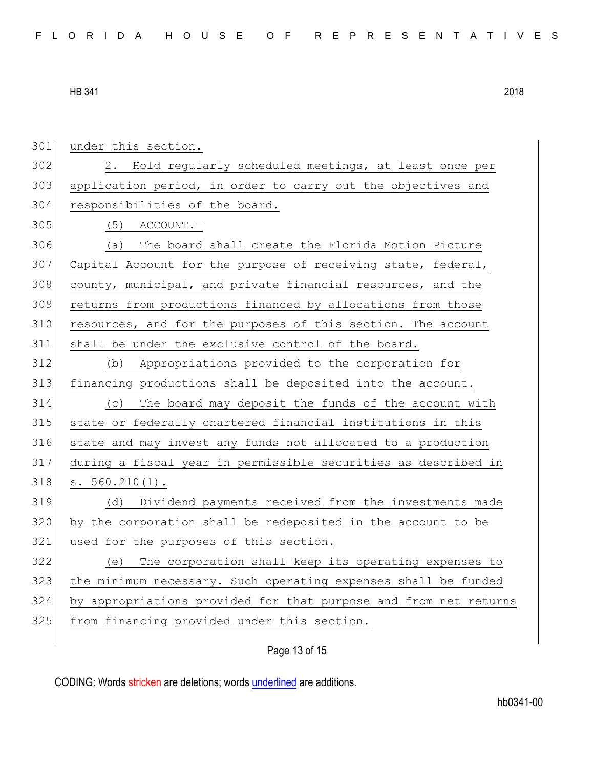| 301 | under this section.                                              |
|-----|------------------------------------------------------------------|
| 302 | 2. Hold regularly scheduled meetings, at least once per          |
| 303 | application period, in order to carry out the objectives and     |
| 304 | responsibilities of the board.                                   |
| 305 | $(5)$ ACCOUNT.                                                   |
| 306 | The board shall create the Florida Motion Picture<br>(a)         |
| 307 | Capital Account for the purpose of receiving state, federal,     |
| 308 | county, municipal, and private financial resources, and the      |
| 309 | returns from productions financed by allocations from those      |
| 310 | resources, and for the purposes of this section. The account     |
| 311 | shall be under the exclusive control of the board.               |
| 312 | Appropriations provided to the corporation for<br>(b)            |
| 313 | financing productions shall be deposited into the account.       |
| 314 | The board may deposit the funds of the account with<br>(C)       |
| 315 | state or federally chartered financial institutions in this      |
| 316 | state and may invest any funds not allocated to a production     |
| 317 | during a fiscal year in permissible securities as described in   |
| 318 | $s. 560.210(1)$ .                                                |
| 319 | Dividend payments received from the investments made<br>(d)      |
| 320 | by the corporation shall be redeposited in the account to be     |
| 321 | used for the purposes of this section.                           |
| 322 | The corporation shall keep its operating expenses to<br>(e)      |
| 323 | the minimum necessary. Such operating expenses shall be funded   |
| 324 | by appropriations provided for that purpose and from net returns |
| 325 | from financing provided under this section.                      |
|     |                                                                  |

# Page 13 of 15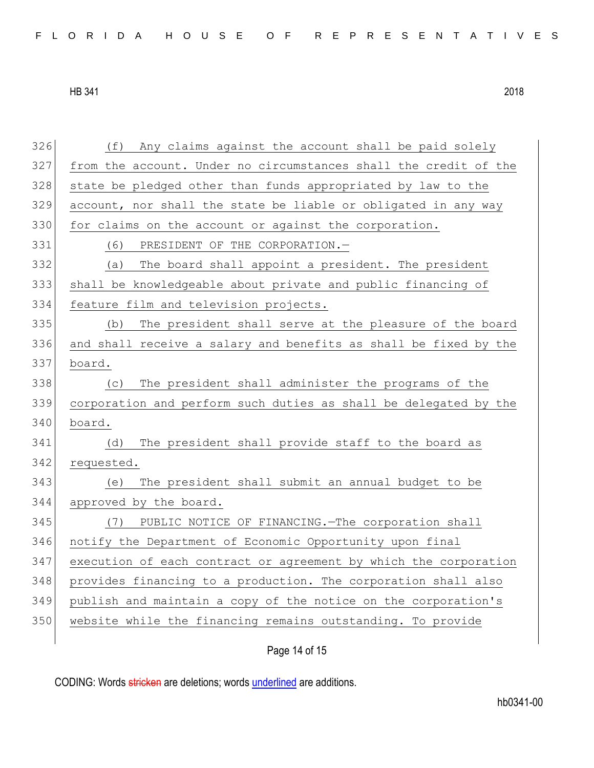| FLORIDA HOUSE OF REPRESENTATIVES |  |
|----------------------------------|--|
|----------------------------------|--|

 (f) Any claims against the account shall be paid solely from the account. Under no circumstances shall the credit of the 328 state be pledged other than funds appropriated by law to the account, nor shall the state be liable or obligated in any way 330 for claims on the account or against the corporation. (6) PRESIDENT OF THE CORPORATION.— (a) The board shall appoint a president. The president shall be knowledgeable about private and public financing of feature film and television projects. (b) The president shall serve at the pleasure of the board and shall receive a salary and benefits as shall be fixed by the board. (c) The president shall administer the programs of the corporation and perform such duties as shall be delegated by the board. (d) The president shall provide staff to the board as 342 requested. (e) The president shall submit an annual budget to be approved by the board. (7) PUBLIC NOTICE OF FINANCING.—The corporation shall notify the Department of Economic Opportunity upon final execution of each contract or agreement by which the corporation provides financing to a production. The corporation shall also publish and maintain a copy of the notice on the corporation's 350 website while the financing remains outstanding. To provide

Page 14 of 15